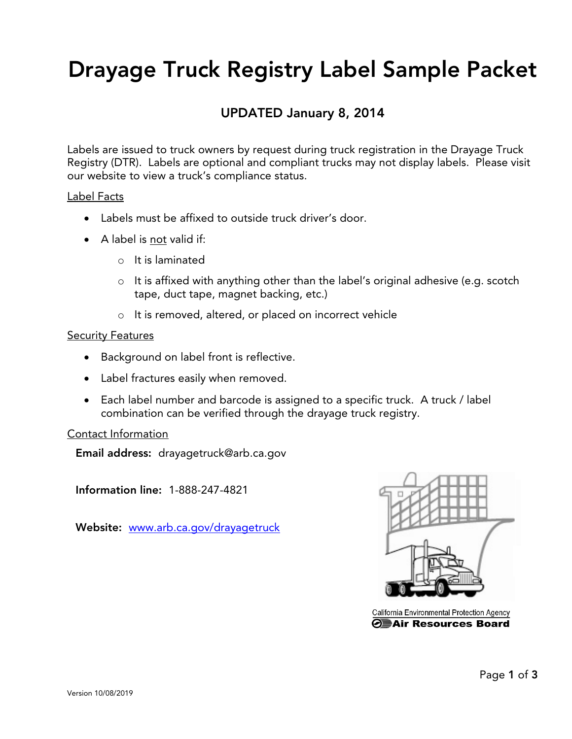# Drayage Truck Registry Label Sample Packet

### UPDATED January 8, 2014

Labels are issued to truck owners by request during truck registration in the Drayage Truck Registry (DTR). Labels are optional and compliant trucks may not display labels. Please visit our website to view a truck's compliance status.

#### Label Facts

- Labels must be affixed to outside truck driver's door.
- A label is not valid if:
	- o It is laminated
	- o It is affixed with anything other than the label's original adhesive (e.g. scotch tape, duct tape, magnet backing, etc.)
	- o It is removed, altered, or placed on incorrect vehicle

#### **Security Features**

- Background on label front is reflective.
- Label fractures easily when removed.
- Each label number and barcode is assigned to a specific truck. A truck / label combination can be verified through the drayage truck registry.

#### Contact Information

Email address: drayagetruck@arb.ca.gov

Information line: 1-888-247-4821

Website: [www.arb.ca.gov/drayagetruck](http://www.arb.ca.gov/drayagetruck)



California Environmental Protection Agency ⊙**EAir Resources Board**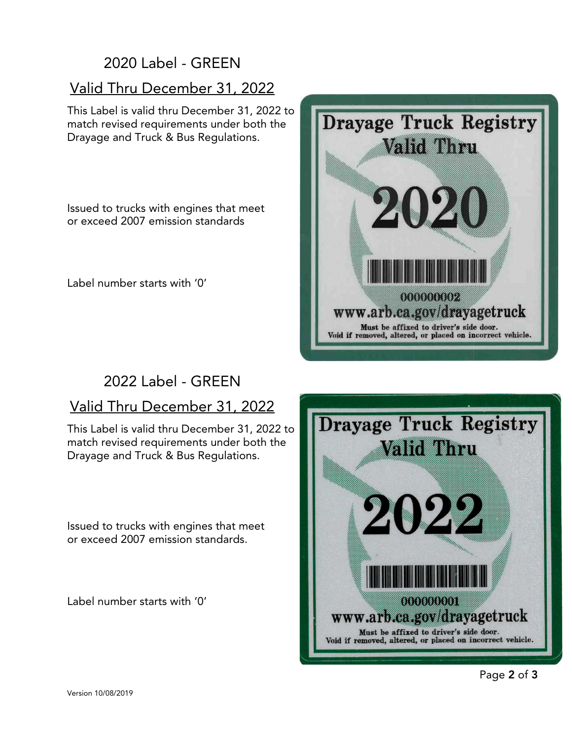# 2020 Label - GREEN

## Valid Thru December 31, 2022

This Label is valid thru December 31, 2022 to match revised requirements under both the Drayage and Truck & Bus Regulations.

Issued to trucks with engines that meet or exceed 2007 emission standards

Label number starts with '0'



# 2022 Label - GREEN

## Valid Thru December 31, 2022

This Label is valid thru December 31, 2022 to match revised requirements under both the Drayage and Truck & Bus Regulations.

Issued to trucks with engines that meet or exceed 2007 emission standards.

Label number starts with '0'